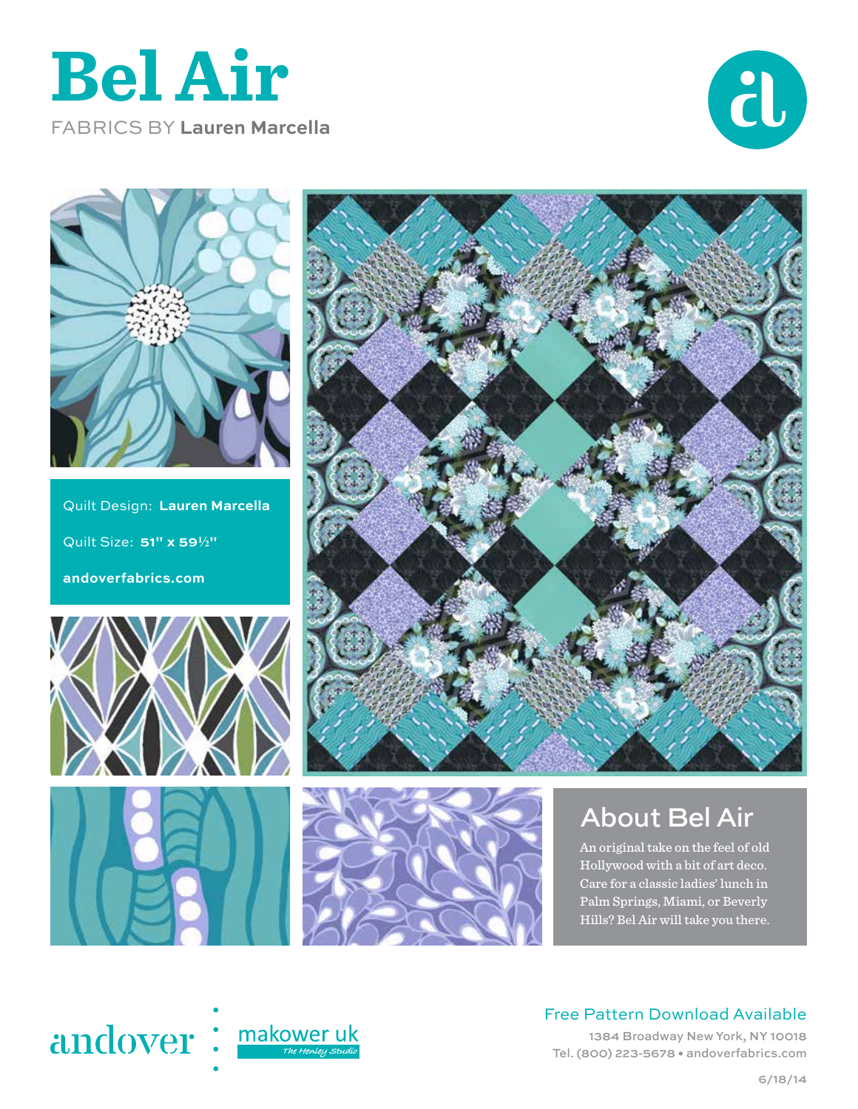





Quilt Design: **Lauren Marcella**  $Quilt Size: 51" \times 59\frac{1}{2}$ **andoverfabrics.com**









## About Bel Air

An original take on the feel of old Hollywood with a bit of art deco. Care for a classic ladies' lunch in Palm Springs, Miami, or Beverly Hills? Bel Air will take you there.



## Free Pattern Download Available

1384 Broadway New York, NY 10018 Tel. (800) 223-5678 • andoverfabrics.com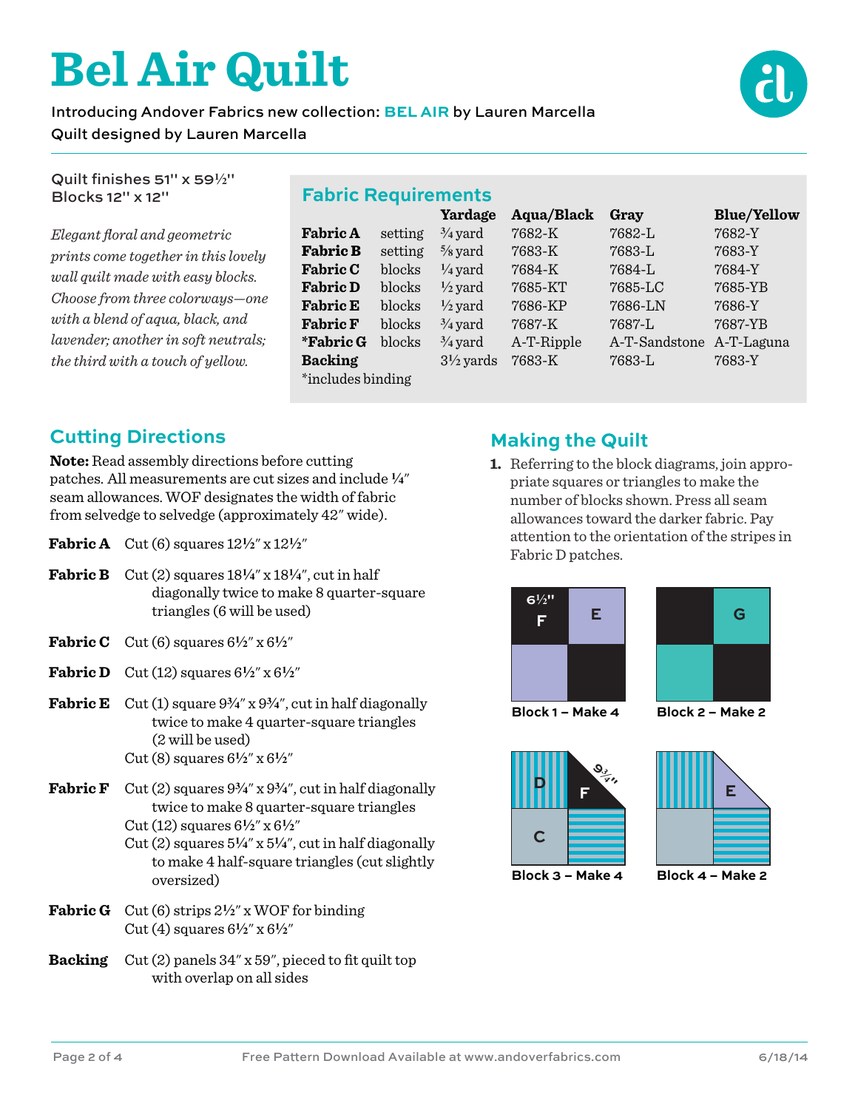# **Bel Air Quilt**

### Introducing Andover Fabrics new collection: **BEL AIR** by Lauren Marcella Quilt designed by Lauren Marcella



Quilt finishes 51" x 59**2**" Blocks 12" x 12"

*Elegant floral and geometric prints come together in this lovely wall quilt made with easy blocks. Choose from three colorways—one with a blend of aqua, black, and lavender; another in soft neutrals; the third with a touch of yellow.* 

|  | <b>Fabric Requirements</b> |  |
|--|----------------------------|--|
|  | $V \sim \sim \sim \sim$    |  |

|                   |         | Yardage              | Aqua/Black | Gray          | <b>Blue/Yellow</b> |  |  |
|-------------------|---------|----------------------|------------|---------------|--------------------|--|--|
| <b>Fabric A</b>   | setting | $\frac{3}{4}$ yard   | 7682-K     | 7682-L        | 7682-Y             |  |  |
| <b>Fabric B</b>   | setting | $\frac{5}{8}$ yard   | 7683-K     | 7683-L        | 7683-Y             |  |  |
| <b>Fabric C</b>   | blocks  | $\frac{1}{4}$ yard   | 7684-K     | $7684 - L$    | 7684-Y             |  |  |
| <b>Fabric D</b>   | blocks  | $\frac{1}{2}$ yard   | 7685-KT    | 7685-LC       | 7685-YB            |  |  |
| <b>Fabric E</b>   | blocks  | $\frac{1}{2}$ yard   | 7686-KP    | 7686-LN       | 7686-Y             |  |  |
| <b>Fabric F</b>   | blocks  | $\frac{3}{4}$ yard   | 7687-K     | 7687-L        | 7687-YB            |  |  |
| *Fabric G         | blocks  | $\frac{3}{4}$ yard   | A-T-Ripple | A-T-Sandstone | A-T-Laguna         |  |  |
| <b>Backing</b>    |         | $3\frac{1}{2}$ yards | 7683-K     | 7683-L        | 7683-Y             |  |  |
| *includes binding |         |                      |            |               |                    |  |  |

## **Cutting Directions**

**Note:** Read assembly directions before cutting patches. All measurements are cut sizes and include **4**" seam allowances. WOF designates the width of fabric from selvedge to selvedge (approximately 42" wide).

- **Fabric A** Cut (6) squares  $12\frac{1}{2}$ " x  $12\frac{1}{2}$ "
- **Fabric B** Cut (2) squares  $18\frac{1}{4}$ " x  $18\frac{1}{4}$ ", cut in half diagonally twice to make 8 quarter-square triangles (6 will be used)
- **Fabric C** Cut (6) squares  $6\frac{1}{2}$ " x  $6\frac{1}{2}$ "
- **Fabric D** Cut (12) squares  $6\frac{1}{2}$ " x  $6\frac{1}{2}$ "
- **Fabric E** Cut (1) square  $9\frac{3}{4}$ " x  $9\frac{3}{4}$ ", cut in half diagonally twice to make 4 quarter-square triangles (2 will be used) Cut (8) squares  $6\frac{1}{2}$ " x  $6\frac{1}{2}$ "
- **Fabric F** Cut (2) squares  $9\frac{3}{4}$ " x  $9\frac{3}{4}$ ", cut in half diagonally twice to make 8 quarter-square triangles Cut (12) squares 6**2**" x 6**2**"

Cut  $(2)$  squares  $5\frac{1}{4}$ " x  $5\frac{1}{4}$ ", cut in half diagonally to make 4 half-square triangles (cut slightly oversized)

- **Fabric G** Cut (6) strips 2**2**" x WOF for binding Cut (4) squares  $6\frac{1}{2}$ " x  $6\frac{1}{2}$ "
- **Backing** Cut (2) panels 34" x 59", pieced to fit quilt top with overlap on all sides

## **Making the Quilt**

**1.** Referring to the block diagrams, join appropriate squares or triangles to make the number of blocks shown. Press all seam allowances toward the darker fabric. Pay attention to the orientation of the stripes in Fabric D patches.





**Block 1 – Make 4 Block 2 – Make 2**





**Block 3 – Make 4 Block 4 – Make 2**

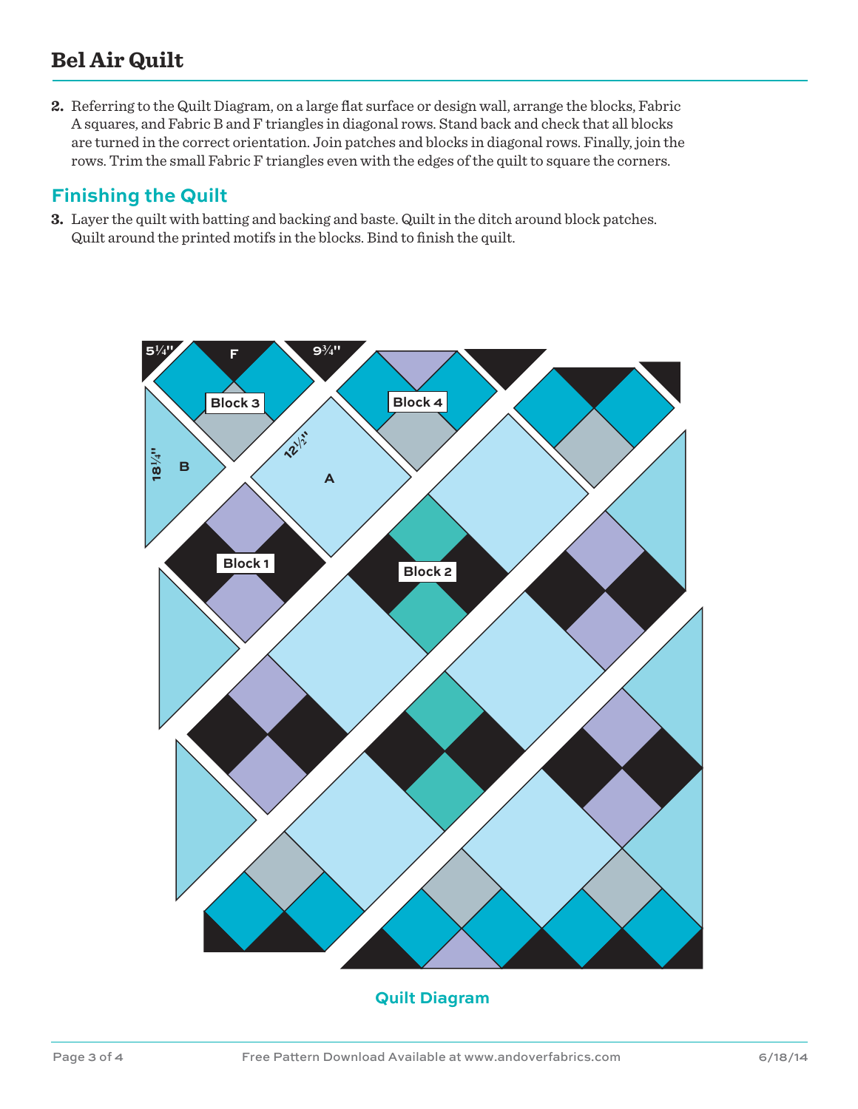## **Bel Air Quilt**

**2.** Referring to the Quilt Diagram, on a large flat surface or design wall, arrange the blocks, Fabric A squares, and Fabric B and F triangles in diagonal rows. Stand back and check that all blocks are turned in the correct orientation. Join patches and blocks in diagonal rows. Finally, join the rows. Trim the small Fabric F triangles even with the edges of the quilt to square the corners.

## **Finishing the Quilt**

**3.** Layer the quilt with batting and backing and baste. Quilt in the ditch around block patches. Quilt around the printed motifs in the blocks. Bind to finish the quilt.



#### **Quilt Diagram**